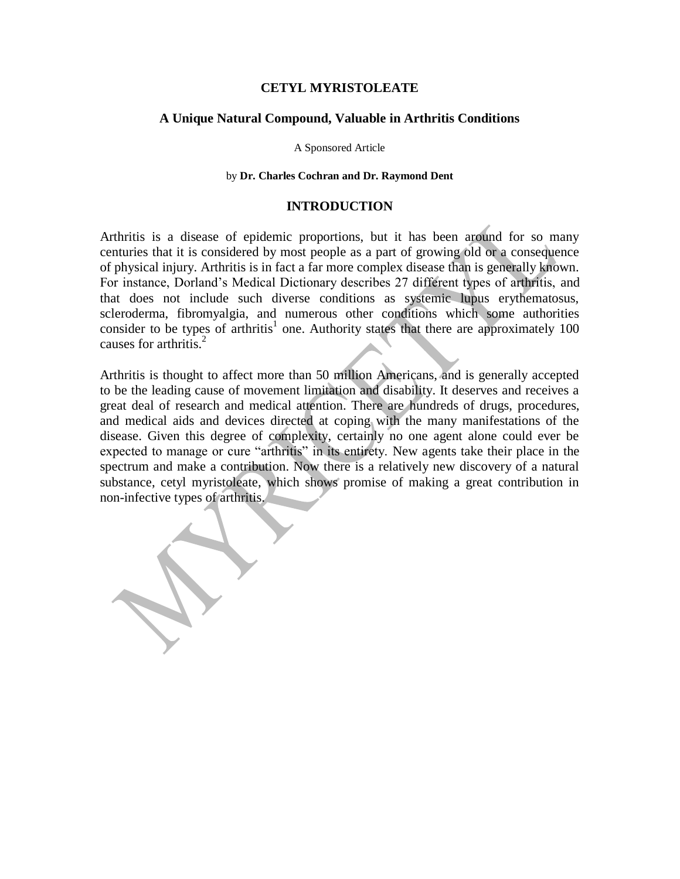### **CETYL MYRISTOLEATE**

## **A Unique Natural Compound, Valuable in Arthritis Conditions**

A Sponsored Article

#### by **Dr. Charles Cochran and Dr. Raymond Dent**

#### **INTRODUCTION**

Arthritis is a disease of epidemic proportions, but it has been around for so many centuries that it is considered by most people as a part of growing old or a consequence of physical injury. Arthritis is in fact a far more complex disease than is generally known. For instance, Dorland's Medical Dictionary describes 27 different types of arthritis, and that does not include such diverse conditions as systemic lupus erythematosus, scleroderma, fibromyalgia, and numerous other conditions which some authorities consider to be types of arthritis<sup>1</sup> one. Authority states that there are approximately  $100$ causes for arthritis. $2^2$ 

Arthritis is thought to affect more than 50 million Americans, and is generally accepted to be the leading cause of movement limitation and disability. It deserves and receives a great deal of research and medical attention. There are hundreds of drugs, procedures, and medical aids and devices directed at coping with the many manifestations of the disease. Given this degree of complexity, certainly no one agent alone could ever be expected to manage or cure "arthritis" in its entirety. New agents take their place in the spectrum and make a contribution. Now there is a relatively new discovery of a natural substance, cetyl myristoleate, which shows promise of making a great contribution in non-infective types of arthritis.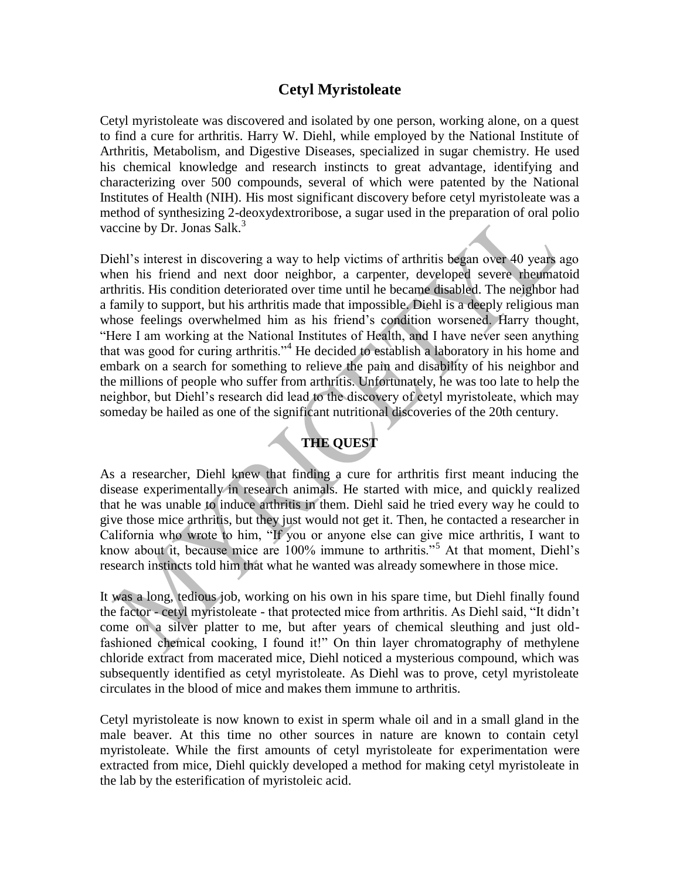# **Cetyl Myristoleate**

Cetyl myristoleate was discovered and isolated by one person, working alone, on a quest to find a cure for arthritis. Harry W. Diehl, while employed by the National Institute of Arthritis, Metabolism, and Digestive Diseases, specialized in sugar chemistry. He used his chemical knowledge and research instincts to great advantage, identifying and characterizing over 500 compounds, several of which were patented by the National Institutes of Health (NIH). His most significant discovery before cetyl myristoleate was a method of synthesizing 2-deoxydextroribose, a sugar used in the preparation of oral polio vaccine by Dr. Jonas Salk. $3$ 

Diehl's interest in discovering a way to help victims of arthritis began over 40 years ago when his friend and next door neighbor, a carpenter, developed severe rheumatoid arthritis. His condition deteriorated over time until he became disabled. The neighbor had a family to support, but his arthritis made that impossible. Diehl is a deeply religious man whose feelings overwhelmed him as his friend's condition worsened. Harry thought, "Here I am working at the National Institutes of Health, and I have never seen anything that was good for curing arthritis."<sup>4</sup> He decided to establish a laboratory in his home and embark on a search for something to relieve the pain and disability of his neighbor and the millions of people who suffer from arthritis. Unfortunately, he was too late to help the neighbor, but Diehl's research did lead to the discovery of cetyl myristoleate, which may someday be hailed as one of the significant nutritional discoveries of the 20th century.

# **THE QUEST**

As a researcher, Diehl knew that finding a cure for arthritis first meant inducing the disease experimentally in research animals. He started with mice, and quickly realized that he was unable to induce arthritis in them. Diehl said he tried every way he could to give those mice arthritis, but they just would not get it. Then, he contacted a researcher in California who wrote to him, "If you or anyone else can give mice arthritis, I want to know about it, because mice are 100% immune to arthritis."<sup>5</sup> At that moment, Diehl's research instincts told him that what he wanted was already somewhere in those mice.

It was a long, tedious job, working on his own in his spare time, but Diehl finally found the factor - cetyl myristoleate - that protected mice from arthritis. As Diehl said, "It didn't come on a silver platter to me, but after years of chemical sleuthing and just oldfashioned chemical cooking, I found it!" On thin layer chromatography of methylene chloride extract from macerated mice, Diehl noticed a mysterious compound, which was subsequently identified as cetyl myristoleate. As Diehl was to prove, cetyl myristoleate circulates in the blood of mice and makes them immune to arthritis.

Cetyl myristoleate is now known to exist in sperm whale oil and in a small gland in the male beaver. At this time no other sources in nature are known to contain cetyl myristoleate. While the first amounts of cetyl myristoleate for experimentation were extracted from mice, Diehl quickly developed a method for making cetyl myristoleate in the lab by the esterification of myristoleic acid.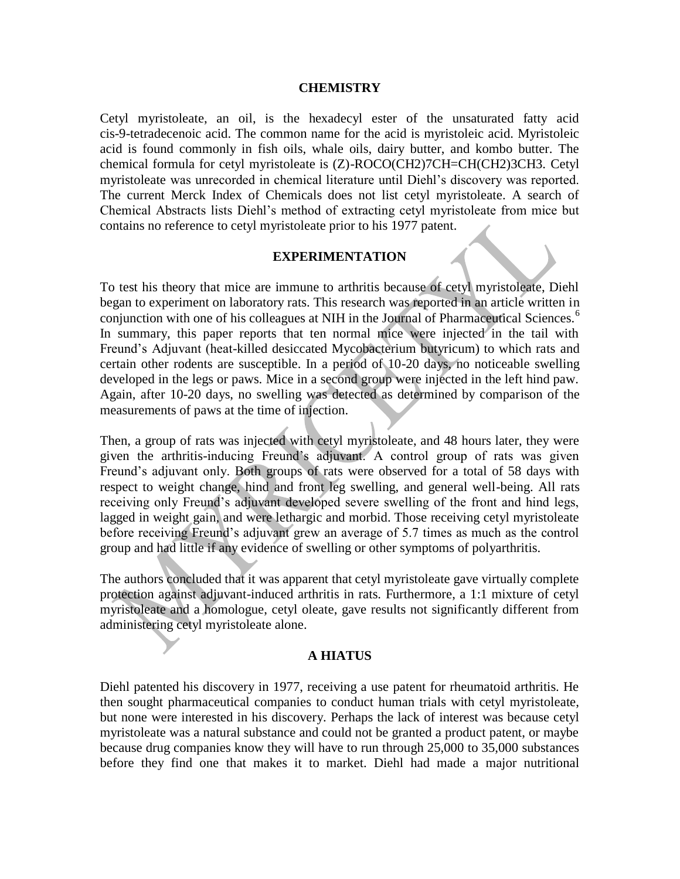#### **CHEMISTRY**

Cetyl myristoleate, an oil, is the hexadecyl ester of the unsaturated fatty acid cis-9-tetradecenoic acid. The common name for the acid is myristoleic acid. Myristoleic acid is found commonly in fish oils, whale oils, dairy butter, and kombo butter. The chemical formula for cetyl myristoleate is (Z)-ROCO(CH2)7CH=CH(CH2)3CH3. Cetyl myristoleate was unrecorded in chemical literature until Diehl's discovery was reported. The current Merck Index of Chemicals does not list cetyl myristoleate. A search of Chemical Abstracts lists Diehl's method of extracting cetyl myristoleate from mice but contains no reference to cetyl myristoleate prior to his 1977 patent.

## **EXPERIMENTATION**

To test his theory that mice are immune to arthritis because of cetyl myristoleate, Diehl began to experiment on laboratory rats. This research was reported in an article written in conjunction with one of his colleagues at NIH in the Journal of Pharmaceutical Sciences.<sup>6</sup> In summary, this paper reports that ten normal mice were injected in the tail with Freund's Adjuvant (heat-killed desiccated Mycobacterium butyricum) to which rats and certain other rodents are susceptible. In a period of 10-20 days, no noticeable swelling developed in the legs or paws. Mice in a second group were injected in the left hind paw. Again, after 10-20 days, no swelling was detected as determined by comparison of the measurements of paws at the time of injection.

Then, a group of rats was injected with cetyl myristoleate, and 48 hours later, they were given the arthritis-inducing Freund's adjuvant. A control group of rats was given Freund's adjuvant only. Both groups of rats were observed for a total of 58 days with respect to weight change, hind and front leg swelling, and general well-being. All rats receiving only Freund's adjuvant developed severe swelling of the front and hind legs, lagged in weight gain, and were lethargic and morbid. Those receiving cetyl myristoleate before receiving Freund's adjuvant grew an average of 5.7 times as much as the control group and had little if any evidence of swelling or other symptoms of polyarthritis.

The authors concluded that it was apparent that cetyl myristoleate gave virtually complete protection against adjuvant-induced arthritis in rats. Furthermore, a 1:1 mixture of cetyl myristoleate and a homologue, cetyl oleate, gave results not significantly different from administering cetyl myristoleate alone.

#### **A HIATUS**

Diehl patented his discovery in 1977, receiving a use patent for rheumatoid arthritis. He then sought pharmaceutical companies to conduct human trials with cetyl myristoleate, but none were interested in his discovery. Perhaps the lack of interest was because cetyl myristoleate was a natural substance and could not be granted a product patent, or maybe because drug companies know they will have to run through 25,000 to 35,000 substances before they find one that makes it to market. Diehl had made a major nutritional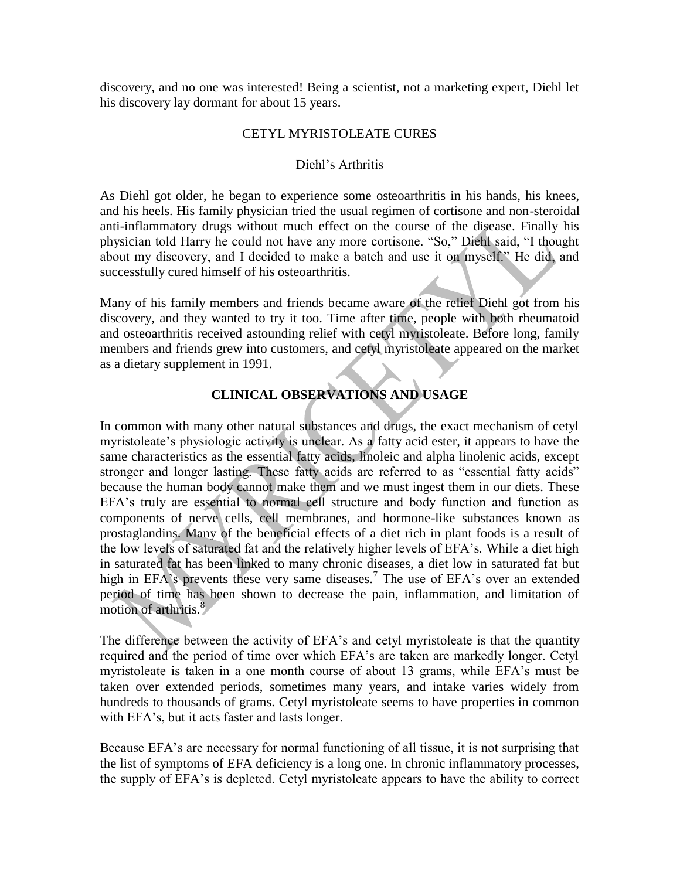discovery, and no one was interested! Being a scientist, not a marketing expert, Diehl let his discovery lay dormant for about 15 years.

## CETYL MYRISTOLEATE CURES

## Diehl's Arthritis

As Diehl got older, he began to experience some osteoarthritis in his hands, his knees, and his heels. His family physician tried the usual regimen of cortisone and non-steroidal anti-inflammatory drugs without much effect on the course of the disease. Finally his physician told Harry he could not have any more cortisone. "So," Diehl said, "I thought about my discovery, and I decided to make a batch and use it on myself." He did, and successfully cured himself of his osteoarthritis.

Many of his family members and friends became aware of the relief Diehl got from his discovery, and they wanted to try it too. Time after time, people with both rheumatoid and osteoarthritis received astounding relief with cetyl myristoleate. Before long, family members and friends grew into customers, and cetyl myristoleate appeared on the market as a dietary supplement in 1991.

# **CLINICAL OBSERVATIONS AND USAGE**

In common with many other natural substances and drugs, the exact mechanism of cetyl myristoleate's physiologic activity is unclear. As a fatty acid ester, it appears to have the same characteristics as the essential fatty acids, linoleic and alpha linolenic acids, except stronger and longer lasting. These fatty acids are referred to as "essential fatty acids" because the human body cannot make them and we must ingest them in our diets. These EFA's truly are essential to normal cell structure and body function and function as components of nerve cells, cell membranes, and hormone-like substances known as prostaglandins. Many of the beneficial effects of a diet rich in plant foods is a result of the low levels of saturated fat and the relatively higher levels of EFA's. While a diet high in saturated fat has been linked to many chronic diseases, a diet low in saturated fat but high in EFA's prevents these very same diseases.<sup>7</sup> The use of EFA's over an extended period of time has been shown to decrease the pain, inflammation, and limitation of motion of arthritis.<sup>8</sup>

The difference between the activity of EFA's and cetyl myristoleate is that the quantity required and the period of time over which EFA's are taken are markedly longer. Cetyl myristoleate is taken in a one month course of about 13 grams, while EFA's must be taken over extended periods, sometimes many years, and intake varies widely from hundreds to thousands of grams. Cetyl myristoleate seems to have properties in common with EFA's, but it acts faster and lasts longer.

Because EFA's are necessary for normal functioning of all tissue, it is not surprising that the list of symptoms of EFA deficiency is a long one. In chronic inflammatory processes, the supply of EFA's is depleted. Cetyl myristoleate appears to have the ability to correct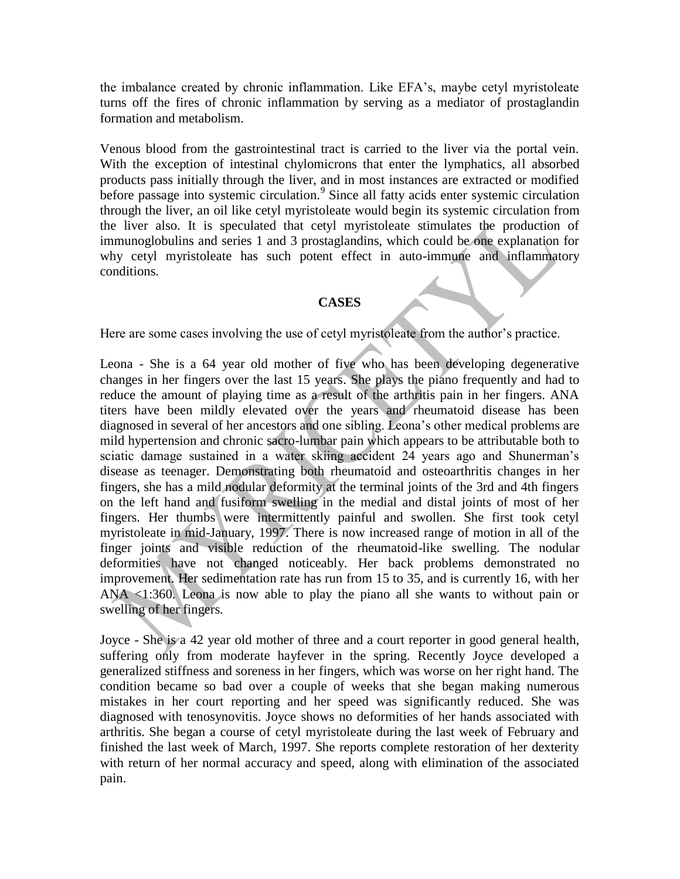the imbalance created by chronic inflammation. Like EFA's, maybe cetyl myristoleate turns off the fires of chronic inflammation by serving as a mediator of prostaglandin formation and metabolism.

Venous blood from the gastrointestinal tract is carried to the liver via the portal vein. With the exception of intestinal chylomicrons that enter the lymphatics, all absorbed products pass initially through the liver, and in most instances are extracted or modified before passage into systemic circulation.<sup>9</sup> Since all fatty acids enter systemic circulation through the liver, an oil like cetyl myristoleate would begin its systemic circulation from the liver also. It is speculated that cetyl myristoleate stimulates the production of immunoglobulins and series 1 and 3 prostaglandins, which could be one explanation for why cetyl myristoleate has such potent effect in auto-immune and inflammatory conditions.

## **CASES**

Here are some cases involving the use of cetyl myristoleate from the author's practice.

Leona - She is a 64 year old mother of five who has been developing degenerative changes in her fingers over the last 15 years. She plays the piano frequently and had to reduce the amount of playing time as a result of the arthritis pain in her fingers. ANA titers have been mildly elevated over the years and rheumatoid disease has been diagnosed in several of her ancestors and one sibling. Leona's other medical problems are mild hypertension and chronic sacro-lumbar pain which appears to be attributable both to sciatic damage sustained in a water skiing accident 24 years ago and Shunerman's disease as teenager. Demonstrating both rheumatoid and osteoarthritis changes in her fingers, she has a mild nodular deformity at the terminal joints of the 3rd and 4th fingers on the left hand and fusiform swelling in the medial and distal joints of most of her fingers. Her thumbs were intermittently painful and swollen. She first took cetyl myristoleate in mid-January, 1997. There is now increased range of motion in all of the finger joints and visible reduction of the rheumatoid-like swelling. The nodular deformities have not changed noticeably. Her back problems demonstrated no improvement. Her sedimentation rate has run from 15 to 35, and is currently 16, with her ANA <1:360. Leona is now able to play the piano all she wants to without pain or swelling of her fingers.

Joyce - She is a 42 year old mother of three and a court reporter in good general health, suffering only from moderate hayfever in the spring. Recently Joyce developed a generalized stiffness and soreness in her fingers, which was worse on her right hand. The condition became so bad over a couple of weeks that she began making numerous mistakes in her court reporting and her speed was significantly reduced. She was diagnosed with tenosynovitis. Joyce shows no deformities of her hands associated with arthritis. She began a course of cetyl myristoleate during the last week of February and finished the last week of March, 1997. She reports complete restoration of her dexterity with return of her normal accuracy and speed, along with elimination of the associated pain.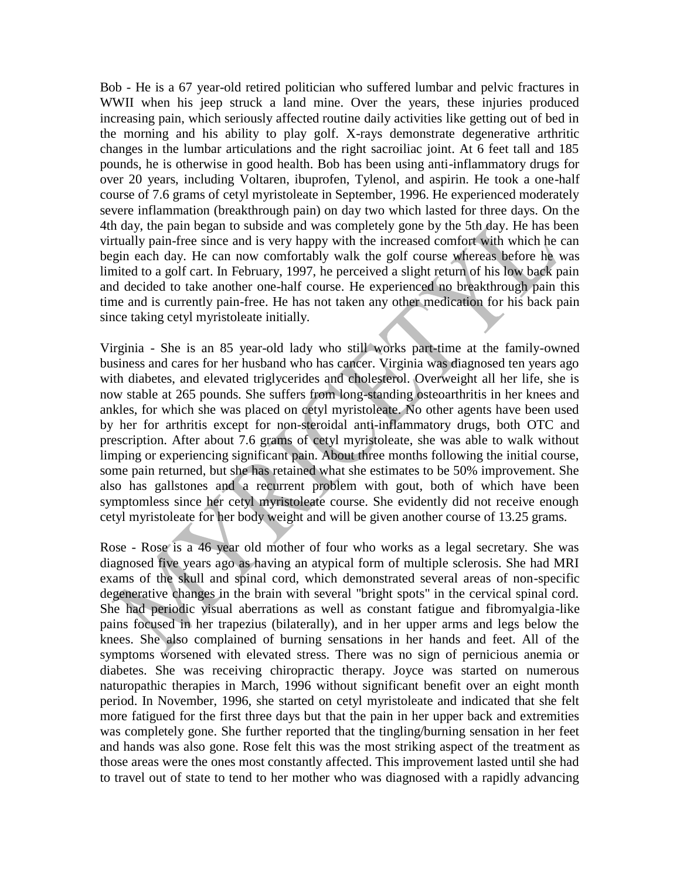Bob - He is a 67 year-old retired politician who suffered lumbar and pelvic fractures in WWII when his jeep struck a land mine. Over the years, these injuries produced increasing pain, which seriously affected routine daily activities like getting out of bed in the morning and his ability to play golf. X-rays demonstrate degenerative arthritic changes in the lumbar articulations and the right sacroiliac joint. At 6 feet tall and 185 pounds, he is otherwise in good health. Bob has been using anti-inflammatory drugs for over 20 years, including Voltaren, ibuprofen, Tylenol, and aspirin. He took a one-half course of 7.6 grams of cetyl myristoleate in September, 1996. He experienced moderately severe inflammation (breakthrough pain) on day two which lasted for three days. On the 4th day, the pain began to subside and was completely gone by the 5th day. He has been virtually pain-free since and is very happy with the increased comfort with which he can begin each day. He can now comfortably walk the golf course whereas before he was limited to a golf cart. In February, 1997, he perceived a slight return of his low back pain and decided to take another one-half course. He experienced no breakthrough pain this time and is currently pain-free. He has not taken any other medication for his back pain since taking cetyl myristoleate initially.

Virginia - She is an 85 year-old lady who still works part-time at the family-owned business and cares for her husband who has cancer. Virginia was diagnosed ten years ago with diabetes, and elevated triglycerides and cholesterol. Overweight all her life, she is now stable at 265 pounds. She suffers from long-standing osteoarthritis in her knees and ankles, for which she was placed on cetyl myristoleate. No other agents have been used by her for arthritis except for non-steroidal anti-inflammatory drugs, both OTC and prescription. After about 7.6 grams of cetyl myristoleate, she was able to walk without limping or experiencing significant pain. About three months following the initial course, some pain returned, but she has retained what she estimates to be 50% improvement. She also has gallstones and a recurrent problem with gout, both of which have been symptomless since her cetyl myristoleate course. She evidently did not receive enough cetyl myristoleate for her body weight and will be given another course of 13.25 grams.

Rose - Rose is a 46 year old mother of four who works as a legal secretary. She was diagnosed five years ago as having an atypical form of multiple sclerosis. She had MRI exams of the skull and spinal cord, which demonstrated several areas of non-specific degenerative changes in the brain with several "bright spots" in the cervical spinal cord. She had periodic visual aberrations as well as constant fatigue and fibromyalgia-like pains focused in her trapezius (bilaterally), and in her upper arms and legs below the knees. She also complained of burning sensations in her hands and feet. All of the symptoms worsened with elevated stress. There was no sign of pernicious anemia or diabetes. She was receiving chiropractic therapy. Joyce was started on numerous naturopathic therapies in March, 1996 without significant benefit over an eight month period. In November, 1996, she started on cetyl myristoleate and indicated that she felt more fatigued for the first three days but that the pain in her upper back and extremities was completely gone. She further reported that the tingling/burning sensation in her feet and hands was also gone. Rose felt this was the most striking aspect of the treatment as those areas were the ones most constantly affected. This improvement lasted until she had to travel out of state to tend to her mother who was diagnosed with a rapidly advancing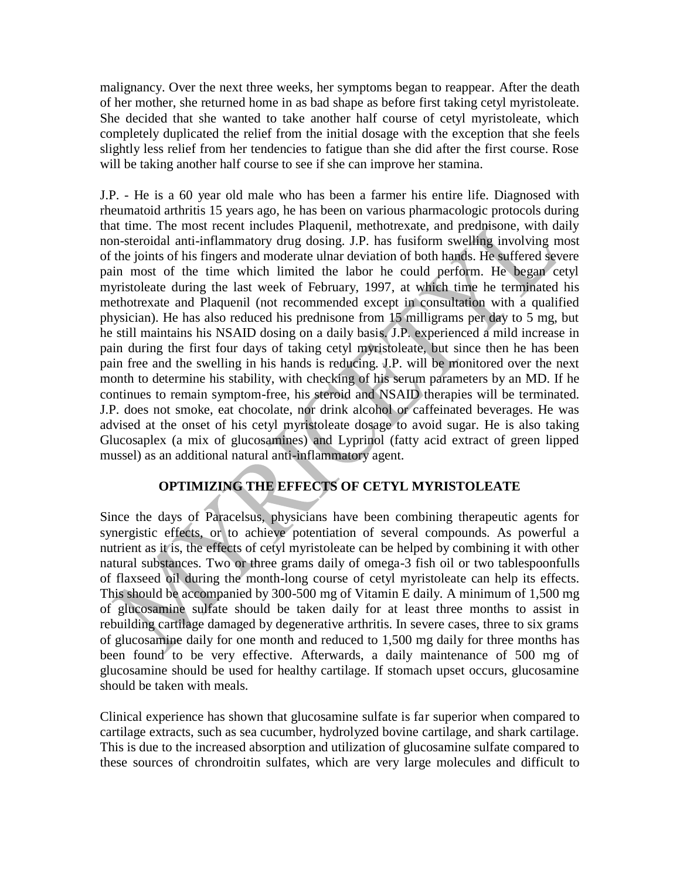malignancy. Over the next three weeks, her symptoms began to reappear. After the death of her mother, she returned home in as bad shape as before first taking cetyl myristoleate. She decided that she wanted to take another half course of cetyl myristoleate, which completely duplicated the relief from the initial dosage with the exception that she feels slightly less relief from her tendencies to fatigue than she did after the first course. Rose will be taking another half course to see if she can improve her stamina.

J.P. - He is a 60 year old male who has been a farmer his entire life. Diagnosed with rheumatoid arthritis 15 years ago, he has been on various pharmacologic protocols during that time. The most recent includes Plaquenil, methotrexate, and prednisone, with daily non-steroidal anti-inflammatory drug dosing. J.P. has fusiform swelling involving most of the joints of his fingers and moderate ulnar deviation of both hands. He suffered severe pain most of the time which limited the labor he could perform. He began cetyl myristoleate during the last week of February, 1997, at which time he terminated his methotrexate and Plaquenil (not recommended except in consultation with a qualified physician). He has also reduced his prednisone from 15 milligrams per day to 5 mg, but he still maintains his NSAID dosing on a daily basis. J.P. experienced a mild increase in pain during the first four days of taking cetyl myristoleate, but since then he has been pain free and the swelling in his hands is reducing. J.P. will be monitored over the next month to determine his stability, with checking of his serum parameters by an MD. If he continues to remain symptom-free, his steroid and NSAID therapies will be terminated. J.P. does not smoke, eat chocolate, nor drink alcohol or caffeinated beverages. He was advised at the onset of his cetyl myristoleate dosage to avoid sugar. He is also taking Glucosaplex (a mix of glucosamines) and Lyprinol (fatty acid extract of green lipped mussel) as an additional natural anti-inflammatory agent.

# **OPTIMIZING THE EFFECTS OF CETYL MYRISTOLEATE**

Since the days of Paracelsus, physicians have been combining therapeutic agents for synergistic effects, or to achieve potentiation of several compounds. As powerful a nutrient as it is, the effects of cetyl myristoleate can be helped by combining it with other natural substances. Two or three grams daily of omega-3 fish oil or two tablespoonfulls of flaxseed oil during the month-long course of cetyl myristoleate can help its effects. This should be accompanied by 300-500 mg of Vitamin E daily. A minimum of 1,500 mg of glucosamine sulfate should be taken daily for at least three months to assist in rebuilding cartilage damaged by degenerative arthritis. In severe cases, three to six grams of glucosamine daily for one month and reduced to 1,500 mg daily for three months has been found to be very effective. Afterwards, a daily maintenance of 500 mg of glucosamine should be used for healthy cartilage. If stomach upset occurs, glucosamine should be taken with meals.

Clinical experience has shown that glucosamine sulfate is far superior when compared to cartilage extracts, such as sea cucumber, hydrolyzed bovine cartilage, and shark cartilage. This is due to the increased absorption and utilization of glucosamine sulfate compared to these sources of chrondroitin sulfates, which are very large molecules and difficult to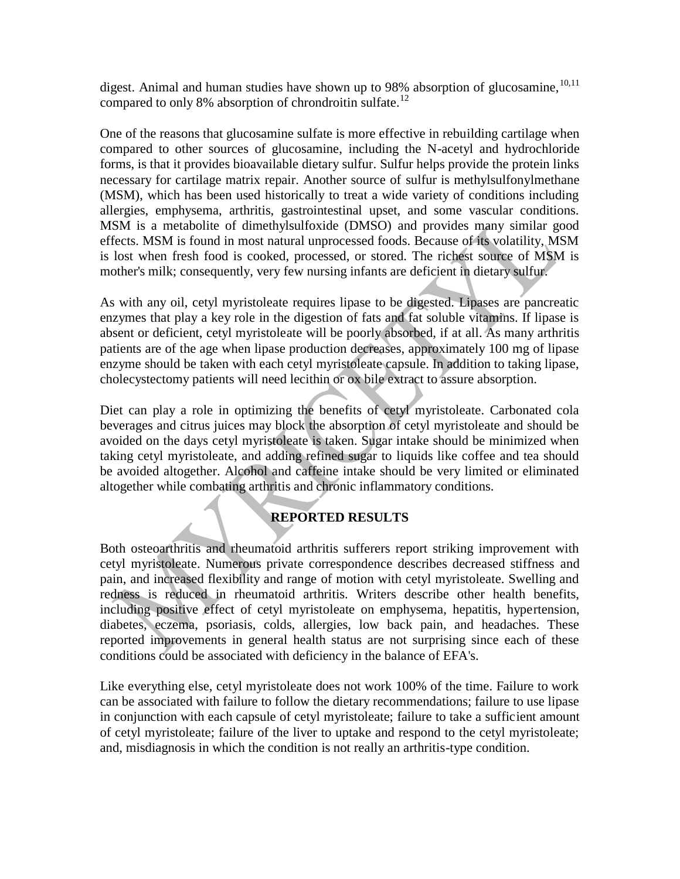digest. Animal and human studies have shown up to 98% absorption of glucosamine,  $10,11$ compared to only 8% absorption of chrondroitin sulfate.<sup>12</sup>

One of the reasons that glucosamine sulfate is more effective in rebuilding cartilage when compared to other sources of glucosamine, including the N-acetyl and hydrochloride forms, is that it provides bioavailable dietary sulfur. Sulfur helps provide the protein links necessary for cartilage matrix repair. Another source of sulfur is methylsulfonylmethane (MSM), which has been used historically to treat a wide variety of conditions including allergies, emphysema, arthritis, gastrointestinal upset, and some vascular conditions. MSM is a metabolite of dimethylsulfoxide (DMSO) and provides many similar good effects. MSM is found in most natural unprocessed foods. Because of its volatility, MSM is lost when fresh food is cooked, processed, or stored. The richest source of MSM is mother's milk; consequently, very few nursing infants are deficient in dietary sulfur.

As with any oil, cetyl myristoleate requires lipase to be digested. Lipases are pancreatic enzymes that play a key role in the digestion of fats and fat soluble vitamins. If lipase is absent or deficient, cetyl myristoleate will be poorly absorbed, if at all. As many arthritis patients are of the age when lipase production decreases, approximately 100 mg of lipase enzyme should be taken with each cetyl myristoleate capsule. In addition to taking lipase, cholecystectomy patients will need lecithin or ox bile extract to assure absorption.

Diet can play a role in optimizing the benefits of cetyl myristoleate. Carbonated cola beverages and citrus juices may block the absorption of cetyl myristoleate and should be avoided on the days cetyl myristoleate is taken. Sugar intake should be minimized when taking cetyl myristoleate, and adding refined sugar to liquids like coffee and tea should be avoided altogether. Alcohol and caffeine intake should be very limited or eliminated altogether while combating arthritis and chronic inflammatory conditions.

# **REPORTED RESULTS**

Both osteoarthritis and rheumatoid arthritis sufferers report striking improvement with cetyl myristoleate. Numerous private correspondence describes decreased stiffness and pain, and increased flexibility and range of motion with cetyl myristoleate. Swelling and redness is reduced in rheumatoid arthritis. Writers describe other health benefits, including positive effect of cetyl myristoleate on emphysema, hepatitis, hypertension, diabetes, eczema, psoriasis, colds, allergies, low back pain, and headaches. These reported improvements in general health status are not surprising since each of these conditions could be associated with deficiency in the balance of EFA's.

Like everything else, cetyl myristoleate does not work 100% of the time. Failure to work can be associated with failure to follow the dietary recommendations; failure to use lipase in conjunction with each capsule of cetyl myristoleate; failure to take a sufficient amount of cetyl myristoleate; failure of the liver to uptake and respond to the cetyl myristoleate; and, misdiagnosis in which the condition is not really an arthritis-type condition.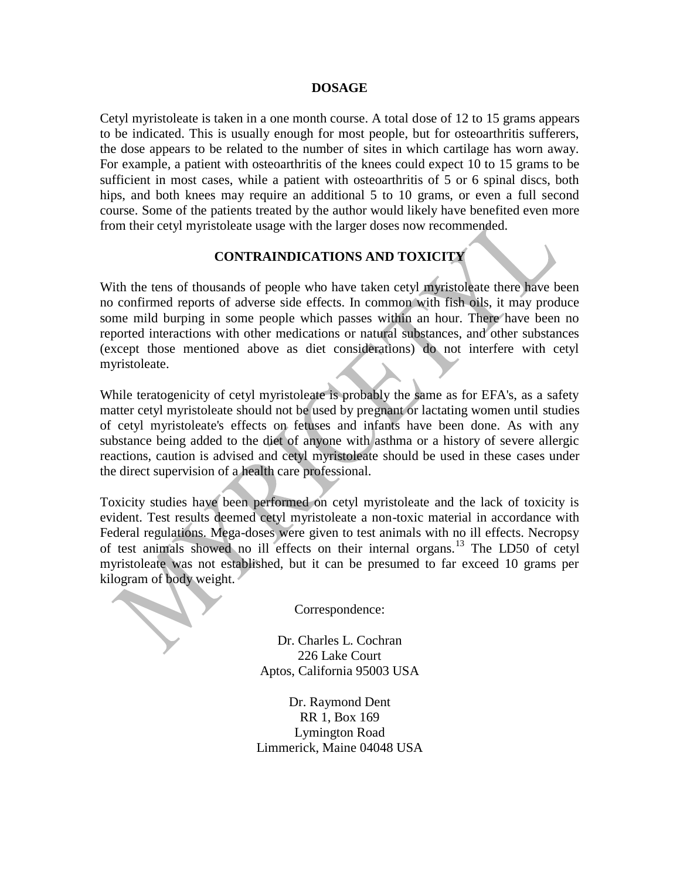#### **DOSAGE**

Cetyl myristoleate is taken in a one month course. A total dose of 12 to 15 grams appears to be indicated. This is usually enough for most people, but for osteoarthritis sufferers, the dose appears to be related to the number of sites in which cartilage has worn away. For example, a patient with osteoarthritis of the knees could expect 10 to 15 grams to be sufficient in most cases, while a patient with osteoarthritis of 5 or 6 spinal discs, both hips, and both knees may require an additional 5 to 10 grams, or even a full second course. Some of the patients treated by the author would likely have benefited even more from their cetyl myristoleate usage with the larger doses now recommended.

## **CONTRAINDICATIONS AND TOXICITY**

With the tens of thousands of people who have taken cetyl myristoleate there have been no confirmed reports of adverse side effects. In common with fish oils, it may produce some mild burping in some people which passes within an hour. There have been no reported interactions with other medications or natural substances, and other substances (except those mentioned above as diet considerations) do not interfere with cetyl myristoleate.

While teratogenicity of cetyl myristoleate is probably the same as for EFA's, as a safety matter cetyl myristoleate should not be used by pregnant or lactating women until studies of cetyl myristoleate's effects on fetuses and infants have been done. As with any substance being added to the diet of anyone with asthma or a history of severe allergic reactions, caution is advised and cetyl myristoleate should be used in these cases under the direct supervision of a health care professional.

Toxicity studies have been performed on cetyl myristoleate and the lack of toxicity is evident. Test results deemed cetyl myristoleate a non-toxic material in accordance with Federal regulations. Mega-doses were given to test animals with no ill effects. Necropsy of test animals showed no ill effects on their internal organs.<sup>13</sup> The LD50 of cetyl myristoleate was not established, but it can be presumed to far exceed 10 grams per kilogram of body weight.

Correspondence:

Dr. Charles L. Cochran 226 Lake Court Aptos, California 95003 USA

Dr. Raymond Dent RR 1, Box 169 Lymington Road Limmerick, Maine 04048 USA